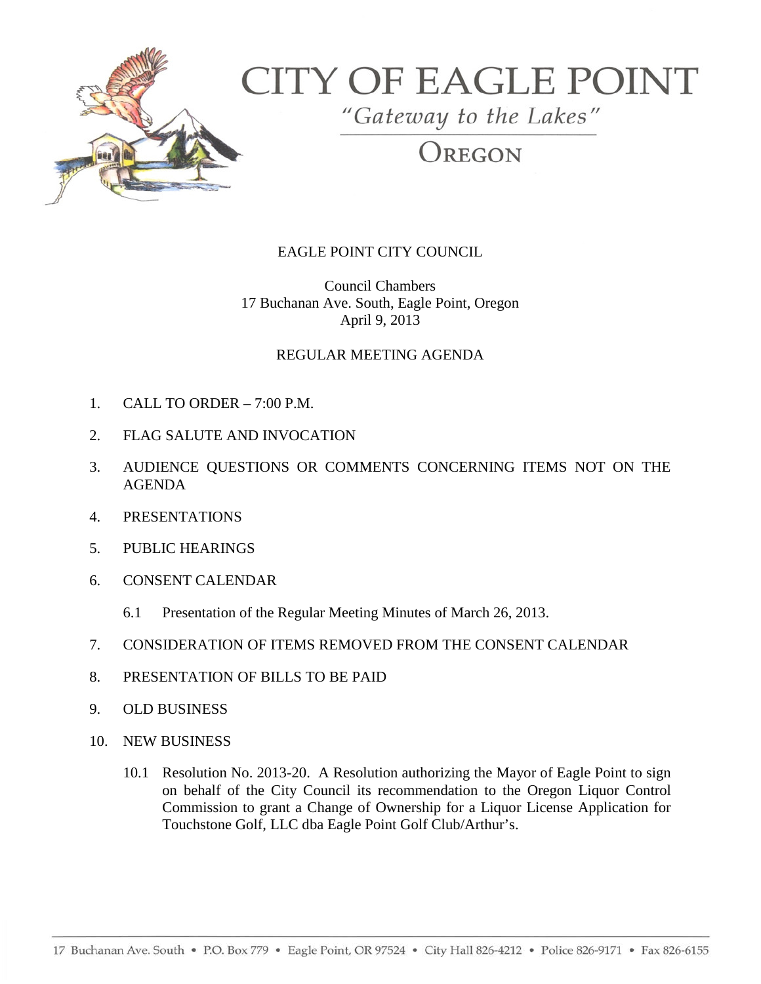

## **CITY OF EAGLE POINT**

"Gateway to the Lakes"

OREGON

## EAGLE POINT CITY COUNCIL

Council Chambers 17 Buchanan Ave. South, Eagle Point, Oregon April 9, 2013

## REGULAR MEETING AGENDA

- 1. CALL TO ORDER 7:00 P.M.
- 2. FLAG SALUTE AND INVOCATION
- 3. AUDIENCE QUESTIONS OR COMMENTS CONCERNING ITEMS NOT ON THE AGENDA
- 4. PRESENTATIONS
- 5. PUBLIC HEARINGS
- 6. CONSENT CALENDAR
	- 6.1 Presentation of the Regular Meeting Minutes of March 26, 2013.
- 7. CONSIDERATION OF ITEMS REMOVED FROM THE CONSENT CALENDAR
- 8. PRESENTATION OF BILLS TO BE PAID
- 9. OLD BUSINESS
- 10. NEW BUSINESS
	- 10.1 Resolution No. 2013-20. A Resolution authorizing the Mayor of Eagle Point to sign on behalf of the City Council its recommendation to the Oregon Liquor Control Commission to grant a Change of Ownership for a Liquor License Application for Touchstone Golf, LLC dba Eagle Point Golf Club/Arthur's.